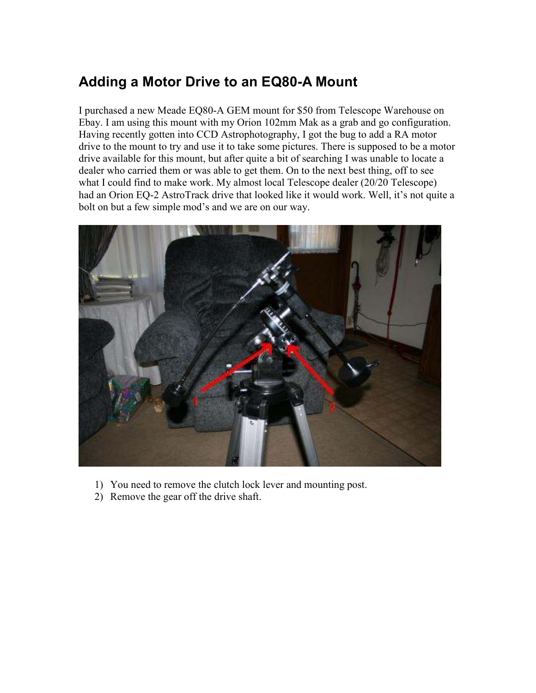## Adding a Motor Drive to an EQ80-A Mount

I purchased a new Meade EQ80-A GEM mount for \$50 from Telescope Warehouse on Ebay. I am using this mount with my Orion 102mm Mak as a grab and go configuration. Having recently gotten into CCD Astrophotography, I got the bug to add a RA motor drive to the mount to try and use it to take some pictures. There is supposed to be a motor drive available for this mount, but after quite a bit of searching I was unable to locate a dealer who carried them or was able to get them. On to the next best thing, off to see what I could find to make work. My almost local Telescope dealer (20/20 Telescope) had an Orion EQ-2 AstroTrack drive that looked like it would work. Well, it's not quite a bolt on but a few simple mod's and we are on our way.



- 1) You need to remove the clutch lock lever and mounting post.
- 2) Remove the gear off the drive shaft.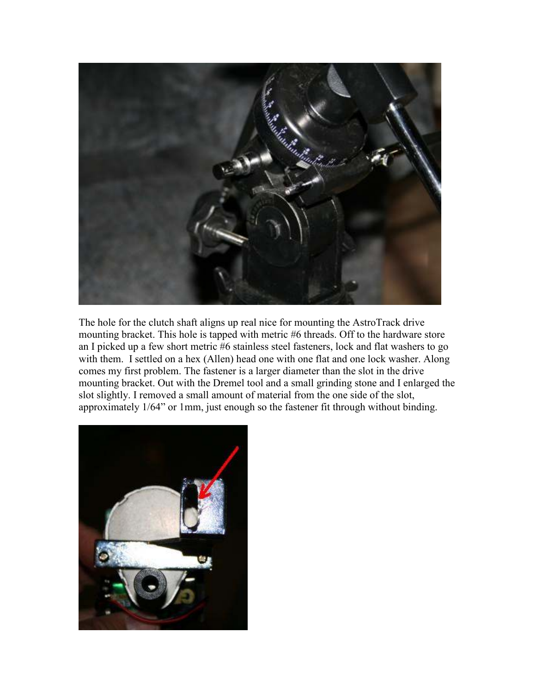

The hole for the clutch shaft aligns up real nice for mounting the AstroTrack drive mounting bracket. This hole is tapped with metric #6 threads. Off to the hardware store an I picked up a few short metric #6 stainless steel fasteners, lock and flat washers to go with them. I settled on a hex (Allen) head one with one flat and one lock washer. Along comes my first problem. The fastener is a larger diameter than the slot in the drive mounting bracket. Out with the Dremel tool and a small grinding stone and I enlarged the slot slightly. I removed a small amount of material from the one side of the slot, approximately 1/64" or 1mm, just enough so the fastener fit through without binding.

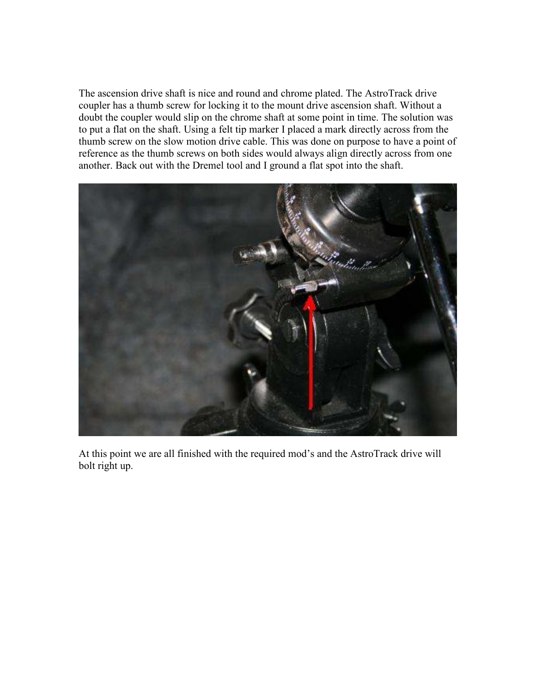The ascension drive shaft is nice and round and chrome plated. The AstroTrack drive coupler has a thumb screw for locking it to the mount drive ascension shaft. Without a doubt the coupler would slip on the chrome shaft at some point in time. The solution was to put a flat on the shaft. Using a felt tip marker I placed a mark directly across from the thumb screw on the slow motion drive cable. This was done on purpose to have a point of reference as the thumb screws on both sides would always align directly across from one another. Back out with the Dremel tool and I ground a flat spot into the shaft.



At this point we are all finished with the required mod's and the AstroTrack drive will bolt right up.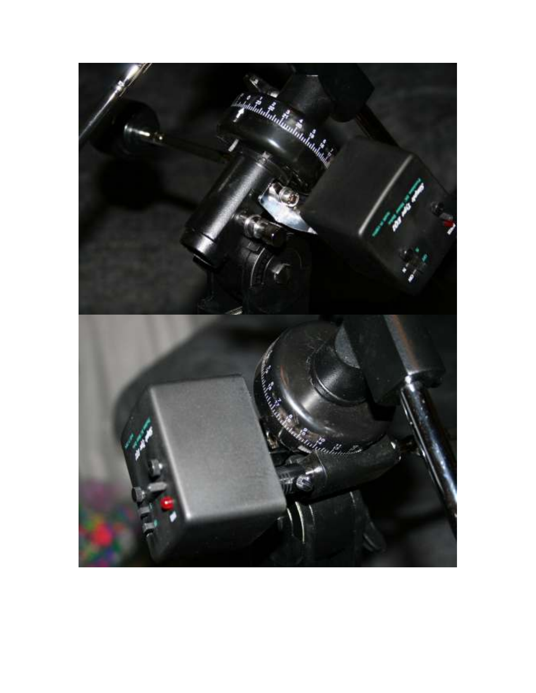